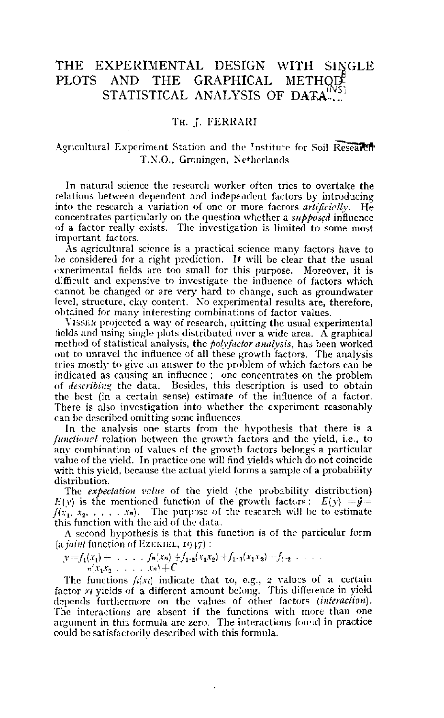# THE EXPERIMENTAL DESIGN WITH SINGLE PLOTS AND THE GRAPHICAL METHOD STATISTICAL ANALYSIS OF DATA... '

# TH. J. FERRARI

# Agricultural Experiment Station and the Institute for Soil Research T.X.O., Groningen, Netherlands

In natural science the research worker often tries to overtake the relations between dependent and independent factors by introducing into the research a variation of one or more factors *artificielly.* He concentrates particularly on the question whether a *supposed* influence of a factor really exists. The investigation is limited to some most important factors.

As agricultural science is a practical science many factors have to be considered for a right prediction. It will be clear that the usual experimental fields are too small for this purpose. Moreover, it is difficult and expensive to investigate the influence of factors which cannot be changed or are very hard to change, such as ground level, structure, clay content. No experimental results are, there obtained for many interesting combinations of factor values.

YISSEK projected a way of research, quitting the usual experimental fields and using single plots distributed over a wide area. A graphical method of statistical analysis, the *poly factor analysis,* has been worked out to unravel the influence of all these growth factors. The analysis tries mostly to give an answer to the problem of which factors can be indicated as causing an influence ; one concentrates on the problem of *describing* the data. Besides, this description is used to obtain the best (in a certain sense) estimate of the influence of a factor. There is also investigation into whether the experiment reasonably can be described omitting some influences.

In the analysis one starts from the hypothesis that there is a *functioncl* relation between the growth factors and the yield, i.e., to any combination of values of the growth factors belongs a particular value of the yield. In practice one will find yields which do not coincide with this yield, because the actual yield forms a sample of a probability distribution.

The *expectation value* of the yield (the probability distribution)  $E(\nu)$  is the mentioned function of the growth factors :  $E(\nu) = \hat{y} = \hat{y}$  $f(x_1, x_2, \ldots, x_n)$ . The purpose of the research will be to es this function with the aid of the data.

A second hypothesis is that this function is of the particular form *(a. joint* function of EZEKIEL, 1947) :

 $v=f_1(x_1)+\ldots,f_n(x_n)+f_{1\cdot2}(x_1x_2)+f_{1\cdot3}(x_1x_3)+f_{1\cdot2}\ldots$  $n'$ *x*<sub>1</sub>*x*<sub>2</sub> . . . . *xn*)+C

The functions  $f_i(x_i)$  indicate that to, e.g., 2 values of a c factor  $n$  yields of a different amount belong. This difference in depends furthermore on the values of other factors *(interaction).*  The interactions are absent if the functions with more than one argument in this formula are zero. The interactions foimd in practice could be satisfactorily described with this formula.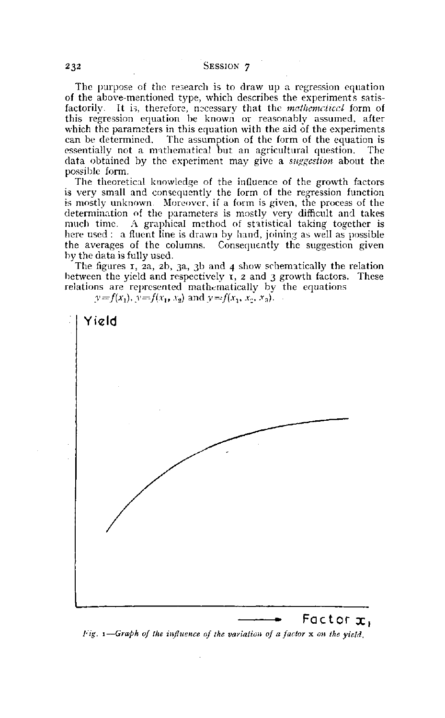## 232 SESSION 7

The purpose of the research is to draw up a regression equation of the above-mentioned type, which describes the experiments satisfactorily. It is, therefore, necessary that the *mathcmciiccl* form of this regression equation be known or reasonably assumed, after which the parameters in this equation with the aid of the experiments can be determined. The assumption of the form of the equation is essentially not a mathematical but an agricultural question. The data obtained by the experiment may give a *suggestion* about the possible form.

The theoretical knowledge of the influence of the growth factors is very small and consequently the form of the regression function is mostly unknown. Moreover, if a form is given, the process of the determination of the parameters is mostly very difficult and takes much time. A graphical method of statistical taking together is here used : a fluent line is drawn by hand, joining as well as possible the averages of the columns. Consequently the suggestion given by the data is fully used.

The figures  $I$ ,  $2a$ ,  $2b$ ,  $3a$ ,  $3b$  and  $4$  show schematically the relation between the yield and respectively  $\tau$ ,  $z$  and  $\tau$  growth factors. These relations are represented mathematically by the equations

 $y = f(x_1), y = f(x_1, x_2)$  and  $y = f(x_1, x_2, x_3)$ .



Yield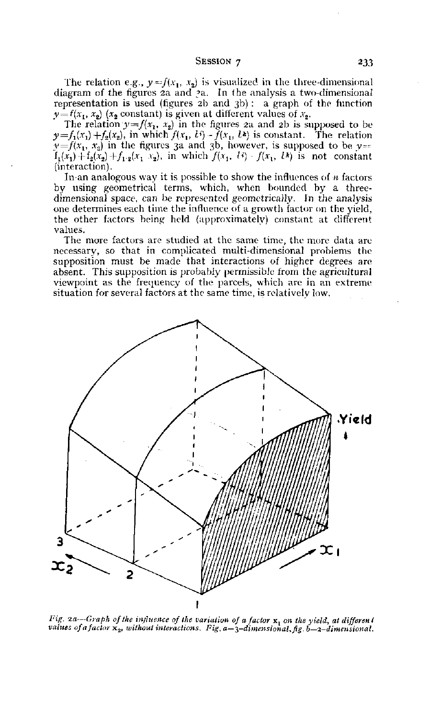#### $S<sub>E</sub>$ SESSION 7 233

The relation e.g.,  $y=f(x_1, x_2)$  is visualized in the three-dimensional diagram of the figures 2a and ?a. In the analysis a two-dimensional representation is used (figures 2b and 3b) : a graph of the function  $y = f(x_1, x_2)$  ( $x_2$  constant) is given at different values of  $x_2$ .

The relation  $y=f(x_1, x_2)$  in the figures 2a and 2b is supposed to be  $y=f_1(x_1)+f_2(x_2)$ , in which  $f(x_1, t^2)-\tilde{f}(x_1, t^2)$  is constant. The relation  $y=f(x_1, x_2)$  in the figures 3a and 3b, however, is supposed to be  $y=$  $f_1(x_1) + f_2(x_2) + f_1 \cdot z(x_1, x_2)$ , in which  $f(x_1, U) - f(x_1, U)$  is not constant (interaction).

In an analogous way it is possible to show the influences of *n* factors by using geometrical terms, which, when bounded by a threedimensional space, can be represented geometrically. In the analysis one determines each time the influence of a growth factor on the yield, the other factors being held (approximately) constant at different values.

The more factors are studied at the same time, the more data are necessary, so that in complicated multi-dimensional problems the supposition must be made that interactions of higher degrees are absent. This supposition is probably permissible from the agricultural viewpoint as the frequency of the parcels, which are in an extreme situation for several factors at the same time, is relatively low.



*Fig. 2a*—*Graph of the influence of the variation of a factor* x, *on the yield, at differen t values of a factor*  $x_2$ , without interactions. Fig. a–3-dimensional, fig. b–2-dimensional.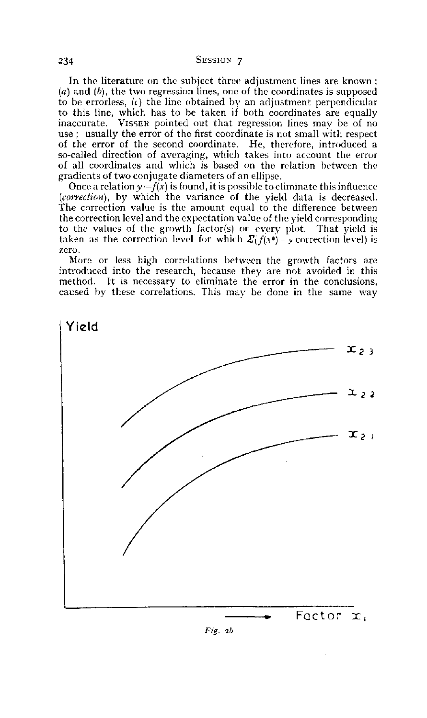In the literature on the subject three adjustment lines are known : *(a)* and *(b),* the two regression lines, one of the coordinates is supposed to be errorless, *(t)* the line obtained by an adjustment perpendicular to this line, which has to be taken if both coordinates are equally inaccurate. VISSER pointed out that regression lines may be of no use ; usually the error of the first coordinate is not small with respect of the error of the second coordinate. He, therefore, introduced a so-called direction of averaging, which takes into account the error of all coordinates and which is based on the relation between the gradients of two conjugate diameters of an ellipse.

Once a relation  $y=f(x)$  is found, it is possible to eliminate this influence *{correction),* by which the variance of the yield data is decreased. The correction value is the amount equal to the difference between the correction level and the expectation value of the yield corresponding to the values of the growth factor(s) on every plot. That yield is taken as the correction level for which  $\Sigma(f(\lambda^k) - y)$  correction level) is zero.

More or less high correlations between the growth factors are introduced into the research, because they are not avoided in this method. It is necessary to eliminate the error in the conclusions, caused by these correlations. This may be done in the same way



*Fis:. 2b*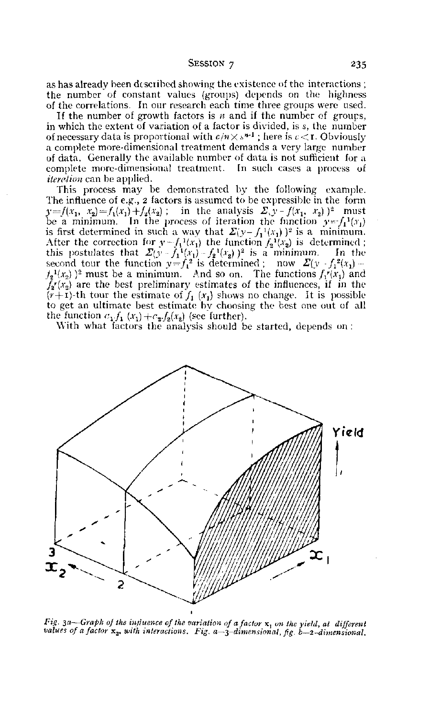$S<sub>E</sub>$ SESSION 7 235

as has already been described showing the existence of the interactions ; the number of constant values (groups) depends on the highness of the correlations. In our research each time three groups were used.

If the number of growth factors is *n* and if the number of groups, in which the extent of variation of a factor is divided, is s, the number of necessary data is proportional with  $c/n\times$  s $n-1$  ; here is  $c\!<$  r. Obv a complete more-dimensional treatment demands a very large number of data. Generally the available number of data is not sufficient for a complete more-dimensional treatment. In such cases a process of *iteration* can be applied.

This process may be demonstrated by the following example. The influence of e.g., 2 factors is assumed to be expressible in the form  $y=f(x_1, x_2)=f_1(x_1)+f_2(x_2)$ ; in the analysis  $\sum y-f(x_1, x_2)$ <sup>2</sup> must be a minimum. In the process of iteration the function  $y = f_1(x_1)$ is first determined in such a way that  $\mathcal{Z}(\mathcal{Y}-\int_1^1(x_1))^2$  is a min After the correction for  $y - f_1(x_1)$  the function  $f_2(x_2)$  is determ this postulates that  $\mathcal{Z}(y - f_1^{-1}(x_1) - f_2^{-1}(x_2))^2$  is a minimum. second tour the function  $y = f_1^2$  is determined; now  $\mathcal{Z}(y - f_1^2)$  $f_2^{\{1\}}(x_2)$  )<sup>2</sup> must be a minimum. And so on. The functions  $f_1^{\{r\}}(x_2)$  $f_2r(x_2)$  are the best preliminary estimates of the influences, if in the  $(r+1)$ -th tour the estimate of  $f_1(x_1)$  shows no change. It is possible to get an ultimate best estimate by choosing the best one out of all the function  $c_1 f_1(x_1) + c_2 f_2(x_2)$  (see further).

With what factors the analysis should be started, depends on :



*Fig.* 3a—*Graph of the influence of the variation of a factor* x, *on the yield, at different values of a factor*  $x_2$ , with interactions. Fig. a–3-dimensional, fig. b–2-dimensional.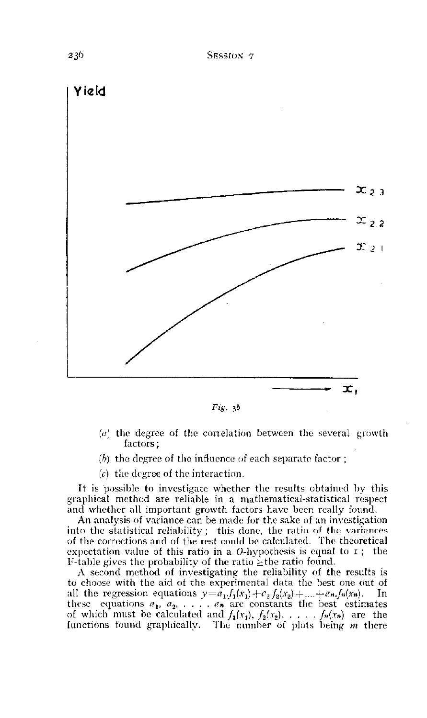

*Fig.*  $3b$ 

- *(a)* the degree of the correlation between the several growth factors ;
- *(h)* the degree of the influence of each separate factor ;
- *(c)* the degree of the interaction.

It is possible to investigate whether the results obtained by this graphical method are reliable in a mathematical-statistical respect and whether all important growth factors have been really found.

An analysis of variance can be made for the sake of an investigation into the statistical reliability ; this done, the ratio of the variances of the corrections and of the rest could be calculated. The theoretical expectation value of this ratio in a  $O$ -hypothesis is equal to  $I$ ; the F-table gives the probability of the ratio  $\geq$ the ratio found.

A second method of investigating the reliability of the results is to choose with the aid of the experimental data the best one out of all the regression equations  $y=a_1.f_1(x_1)+c_2.f_2(x_2)+\ldots+a_nf_n(x_n)$ . In these equations  $a_1, a_2, \ldots, a_n$  are constants the best estimates of which must be calculated and  $f_1(x_1), f_2(x_2), \ldots, f_n(x_n)$  are functions found graphically. The number of plots being *m* there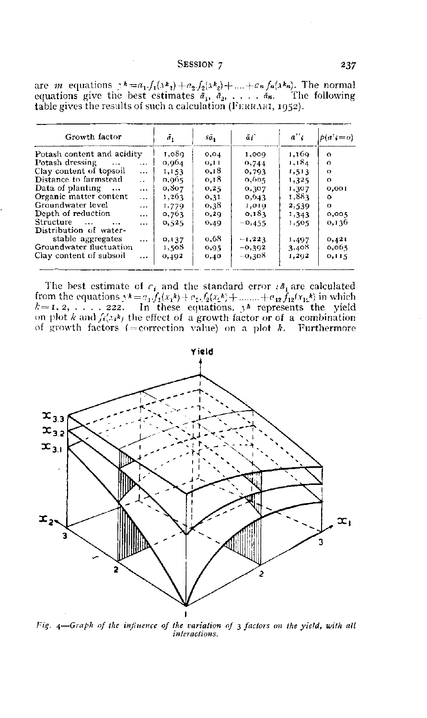#### SESSION 7

| Growth factor                                                                               | б,     | sā.   | $\tilde{\alpha}_1$ | $a^{\prime\prime}$ | $p(a^{\prime};=o)$ |
|---------------------------------------------------------------------------------------------|--------|-------|--------------------|--------------------|--------------------|
| Potash content and acidity                                                                  | 1,089. | 0,04  | 1,009              | 1,169              | $\Omega$           |
| Potash dressing<br>$\sim$ $\sim$ $\sim$<br>$\cdots$                                         | 0,964  | 0,11  | 0,744              | 1,184              | $\Omega$           |
| Clay content of topsoil<br>$\cdots$                                                         | 1,153  | 0,18  | 0.793              | 1,513              | $\Omega$           |
| Distance to farmstead<br>$\ddot{\phantom{a}}$                                               | 0,965  | 0.18  | 0.005              | 1,325              | $\Omega$           |
| Data of planting<br>$\cdots$<br>$\cdots$                                                    | 0.807  | 0,25  | 0,307              | 1,307              | 0,001              |
| Organic matter content<br>$\cdots$                                                          | 1,203  | 0,31  | 0,043              | 1,883              | $\circ$            |
| Groundwater level<br>$\cdots$                                                               | 1,779  | 0,38  | 1,010              | 2,539              | o                  |
| Depth of reduction<br>$\cdots$                                                              | 0,763  | 0, 29 | 0, 183             | 1,343              | 0,005              |
| <b>Structure</b><br>$\sim 100$ km $^{-1}$<br>$\cdots$<br>$\cdots$<br>Distribution of water- | 0,525  | 0,49  | $-0,455$           | 1,505              | 0,136              |
| stable aggregates<br>$\cdots$                                                               | 0,137  | 0,68  | $-1,223$           | 1,497              | 0,421              |
| Groundwater fluctuation                                                                     | 1,508  | 0,95  | $-0,302$           | 3,408              | 0,005              |
| Clay content of subsoil<br>$\cdots$                                                         | 0,492  | 0,40  | $-0.303$           | 1,202              | 0,115              |

are *m* equations  $A = a_1 f_1(xh_1) + a_2 f_2(xh_2) + \dots + a_n f_n(xh_n)$ . The normal equations give the best estimates  $\bar{a}_1, \bar{a}_2, \dots, \bar{a}_n$ . The following table gives the results of such a calculation (FERRARI, 1952).

The best estimate of  $c_i$  and the standard error  $s\bar{a}_1$  are calculated<br>from the equations  $y\bar{k} = a_1 f_1(x_1\bar{k}) + c_2 f_2(x_2\bar{k}) + \dots + c_{12} f_{12}(x_{12}\bar{k})$  in which<br> $k = 1, 2, \dots, 222$ . In these equations,  $y\bar{k}$  represents the on plot k and  $f_i(x)$  the effect of a growth factor or of a combination of growth factors (=correction value) on a plot  $k$ . Furthermore



Fig. 4-Graph of the influence of the variation of 3 factors on the yield, with all interactions.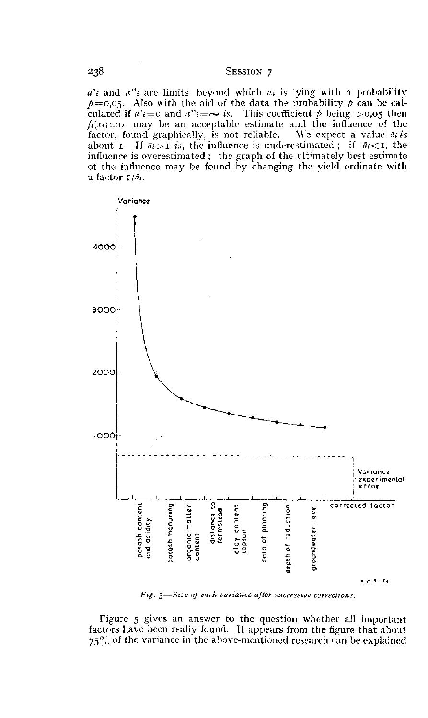## SESSION 7

 $a'$  and  $a''$  are limits beyond which  $a_i$  is lying with a probability  $p=0.05$ . Also with the aid of the data the probability p can be calculated if  $a'_{i} = 0$  and  $a''_{i} = \sim i s$ . This coefficient  $p$  being  $> 0.05$  then  $f_i(x_i) = 0$  may be an acceptable estimate and the influence of the factor, found graphically, is not reliable. We expect a value  $\bar{a}_i$  is about **I**. If  $\overline{a_i} > \overline{1}$  is, the influence is underestimated; if  $\overline{a_i} < \overline{1}$ , the influence is overestimated ; the graph of the ultimately best estimate of the influence may be found by changing the yield ordinate with a factor  $1/a_i$ .



Fig. 5-Size of each variance after successive corrections.

Figure 5 gives an answer to the question whether all important factors have been really found. It appears from the figure that about  $75\%$  of the variance in the above-mentioned research can be explained

238